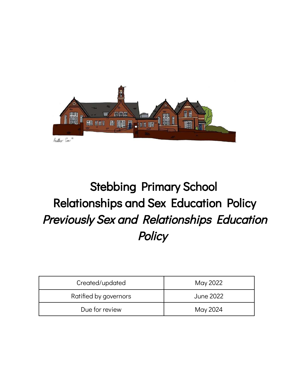

# Stebbing Primary School Relationships and Sex Education Policy Previously Sex and Relationships Education **Policy**

| Created/updated       | May 2022         |  |
|-----------------------|------------------|--|
| Ratified by governors | <b>June 2022</b> |  |
| Due for review        | May 2024         |  |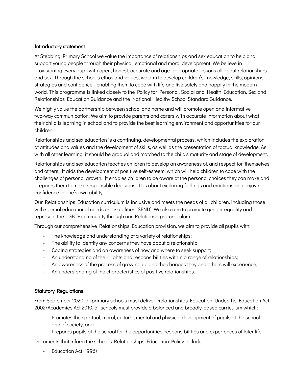#### Introductory statement

At Stebbing Primary School we value the importance of relationships and sex education to help and support young people through their physical, emotional and moral development. We believe in provisioning every pupil with open, honest, accurate and age-appropriate lessons all about relationships and sex. Through the school's ethos and values, we aim to develop children's knowledge, skills, opinions, strategies and confidence - enabling them to cope with life and live safely and happily in the modern world. This programme is linked closely to the Policy for Personal, Social and Health Education, Sex and Relationships Education Guidance and the National Healthy School Standard Guidance.

We highly value the partnership between school and home and will promote open and informative two-way communication. We aim to provide parents and carers with accurate information about what their child is learning in school and to provide the best learning environment and opportunities for our children.

Relationships and sex education is a continuing, developmental process, which includes the exploration of attitudes and values and the development of skills, as well as the presentation of factual knowledge. As with all other learning, it should be gradual and matched to the child's maturity and stage of development.

Relationships and sex education teaches children to develop an awareness of, and respect for, themselves and others. It aids the development of positive self-esteem, which will help children to cope with the challenges of personal growth. It enables children to be aware of the personal choices they can make and prepares them to make responsible decisions. It is about exploring feelings and emotions and enjoying confidence in one's own ability.

Our Relationships Education curriculum is inclusive and meets the needs of all children, including those with special educational needs or disabilities (SEND). We also aim to promote gender equality and represent the LGBT+ community through our Relationships curriculum.

Through our comprehensive Relationships Education provision, we aim to provide all pupils with:

- The knowledge and understanding of a variety of relationships;
- The ability to identify any concerns they have about a relationship;
- Coping strategies and an awareness of how and where to seek support;
- An understanding of their rights and responsibilities within a range of relationships;
- An awareness of the process of growing up and the changes they and others will experience;
- An understanding of the characteristics of positive relationships.

#### Statutory Regulations:

From September 2020, all primary schools must deliver Relationships Education. Under the Education Act 2002/Academies Act 2010, all schools must provide a balanced and broadly-based curriculum which:

- Promotes the spiritual, moral, cultural, mental and physical development of pupils at the school and of society, and
- Prepares pupils at the school for the opportunities, responsibilities and experiences of later life.

Documents that inform the school's Relationships Education Policy include:

Education Act (1996)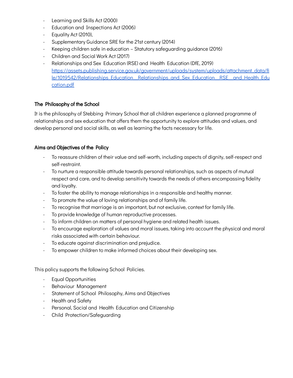- Learning and Skills Act (2000)
- Education and Inspections Act (2006)
- Equality Act (2010),
- Supplementary Guidance SRE for the 21st century (2014)
- Keeping children safe in education Statutory safeguarding guidance (2016)
- Children and Social Work Act (2017)
- Relationships and Sex Education (RSE) and Health Education (DfE, 2019) [https://assets.publishing.service.gov.uk/government/uploads/system/uploads/attachment\\_data/fi](https://assets.publishing.service.gov.uk/government/uploads/system/uploads/attachment_data/file/1019542/Relationships_Education__Relationships_and_Sex_Education__RSE__and_Health_Education.pdf) [le/1019542/Relationships\\_Education\\_\\_Relationships\\_and\\_Sex\\_Education\\_\\_RSE\\_\\_and\\_Health\\_Edu](https://assets.publishing.service.gov.uk/government/uploads/system/uploads/attachment_data/file/1019542/Relationships_Education__Relationships_and_Sex_Education__RSE__and_Health_Education.pdf) [cation.pdf](https://assets.publishing.service.gov.uk/government/uploads/system/uploads/attachment_data/file/1019542/Relationships_Education__Relationships_and_Sex_Education__RSE__and_Health_Education.pdf)

#### The Philosophy of the School

It is the philosophy of Stebbing Primary School that all children experience a planned programme of relationships and sex education that offers them the opportunity to explore attitudes and values, and develop personal and social skills, as well as learning the facts necessary for life.

#### Aims and Objectives of the Policy

- To reassure children of their value and self-worth, including aspects of dignity, self-respect and self-restraint.
- To nurture a responsible attitude towards personal relationships, such as aspects of mutual respect and care, and to develop sensitivity towards the needs of others encompassing fidelity and loyalty.
- To foster the ability to manage relationships in a responsible and healthy manner.
- To promote the value of loving relationships and of family life.
- To recognise that marriage is an important, but not exclusive, context for family life.
- To provide knowledge of human reproductive processes.
- To inform children on matters of personal hygiene and related health issues.
- To encourage exploration of values and moral issues, taking into account the physical and moral risks associated with certain behaviour.
- To educate against discrimination and prejudice.
- To empower children to make informed choices about their developing sex.

This policy supports the following School Policies.

- Equal Opportunities
- Behaviour Management
- Statement of School Philosophy, Aims and Objectives
- Health and Safety
- Personal, Social and Health Education and Citizenship
- Child Protection/Safeguarding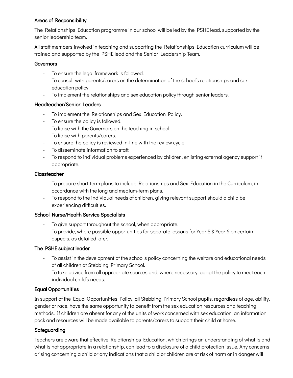#### Areas of Responsibility

The Relationships Education programme in our school will be led by the PSHE lead, supported by the senior leadership team.

All staff members involved in teaching and supporting the Relationships Education curriculum will be trained and supported by the PSHE lead and the Senior Leadership Team.

#### **Governors**

- To ensure the legal framework is followed.
- To consult with parents/carers on the determination of the school's relationships and sex education policy
- To implement the relationships and sex education policy through senior leaders.

#### Headteacher/Senior Leaders

- To implement the Relationships and Sex Education Policy.
- To ensure the policy is followed.
- To liaise with the Governors on the teaching in school.
- To liaise with parents/carers.
- To ensure the policy is reviewed in-line with the review cycle.
- To disseminate information to staff.
- To respond to individual problems experienced by children, enlisting external agency support if appropriate.

#### **Classteacher**

- To prepare short-term plans to include Relationships and Sex Education in the Curriculum, in accordance with the long and medium-term plans.
- To respond to the individual needs of children, giving relevant support should a child be experiencing difficulties.

#### School Nurse/Health Service Specialists

- To give support throughout the school, when appropriate.
- To provide, where possible opportunities for separate lessons for Year 5 & Year 6 on certain aspects, as detailed later.

#### The PSHE subject leader

- To assist in the development of the school's policy concerning the welfare and educational needs of all children at Stebbing Primary School.
- To take advice from all appropriate sources and, where necessary, adapt the policy to meet each individual child's needs.

## Equal Opportunities

In support of the Equal Opportunities Policy, all Stebbing Primary School pupils, regardless of age, ability, gender or race, have the same opportunity to benefit from the sex education resources and teaching methods. If children are absent for any of the units of work concerned with sex education, an information pack and resources will be made available to parents/carers to support their child at home.

## Safeguarding

Teachers are aware that effective Relationships Education, which brings an understanding of what is and what is not appropriate in a relationship, can lead to a disclosure of a child protection issue. Any concerns arising concerning a child or any indications that a child or children are at risk of harm or in danger will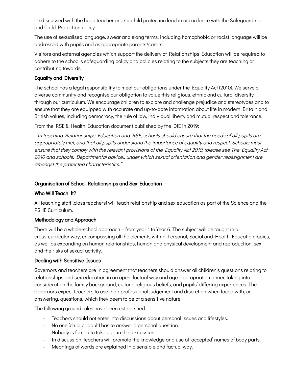be discussed with the head teacher and/or child protection lead in accordance with the Safeguarding and Child Protection policy.

The use of sexualised language, swear and slang terms, including homophobic or racist language will be addressed with pupils and as appropriate parents/carers.

Visitors and external agencies which support the delivery of Relationships Education will be required to adhere to the school's safeguarding policy and policies relating to the subjects they are teaching or contributing towards

#### Equality and Diversity

The school has a legal responsibility to meet our obligations under the Equality Act (2010). We serve a diverse community and recognise our obligation to value this religious, ethnic and cultural diversity through our curriculum. We encourage children to explore and challenge prejudice and stereotypes and to ensure that they are equipped with accurate and up-to-date information about life in modern Britain and British values, including democracy, the rule of law, individual liberty and mutual respect and tolerance.

From the RSE & Health Education document published by the DfE in 2019:

"In teaching Relationships Education and RSE, schools should ensure that the needs of all pupils are appropriately met, and that all pupils understand the importance of equality and respect. Schools must ensure that they comply with the relevant provisions of the Equality Act 2010, (please see The Equality Act 2010 and schools: Departmental advice), under which sexual orientation and gender reassignment are amongst the protected characteristics."

## Organisation of School Relationships and Sex Education

#### Who Will Teach It?

All teaching staff (class teachers) will teach relationship and sex education as part of the Science and the PSHE Curriculum.

#### Methodology and Approach

There will be a whole-school approach – from year 1 to Year 6. The subject will be taught in a cross-curricular way, encompassing all the elements within Personal, Social and Health Education topics, as well as expanding on human relationships, human and physical development and reproduction, sex and the risks of sexual activity.

#### Dealing with Sensitive Issues

Governors and teachers are in agreement that teachers should answer all children's questions relating to relationships and sex education in an open, factual way and age-appropriate manner, taking into consideration the family background, culture, religious beliefs, and pupils' differing experiences. The Governors expect teachers to use their professional judgement and discretion when faced with, or answering, questions, which they deem to be of a sensitive nature.

The following ground rules have been established.

- Teachers should not enter into discussions about personal issues and lifestyles.
- No one (child or adult) has to answer a personal question.
- Nobody is forced to take part in the discussion.
- In discussion, teachers will promote the knowledge and use of 'accepted' names of body parts.
- Meanings of words are explained in a sensible and factual way.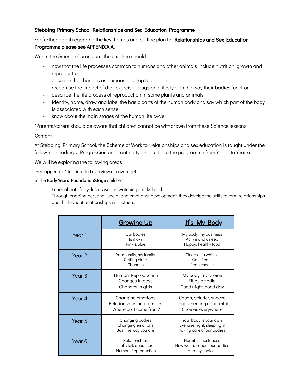#### Stebbing Primary School Relationships and Sex Education Programme

#### For further detail regarding the key themes and outline plan for Relationships and Sex Education Programme please see APPENDIX A.

Within the Science Curriculum, the children should:

- now that the life processes common to humans and other animals include nutrition, growth and reproduction
- describe the changes as humans develop to old age
- recognise the impact of diet, exercise, drugs and lifestyle on the way their bodies function
- describe the life process of reproduction in some plants and animals
- identify, name, draw and label the basic parts of the human body and say which part of the body is associated with each sense
- know about the main stages of the human life cycle.

\*Parents/carers should be aware that children cannot be withdrawn from these Science lessons.

#### **Content**

At Stebbing Primary School, the Scheme of Work for relationships and sex education is taught under the following headings. Progression and continuity are built into the programme from Year 1 to Year 6.

We will be exploring the following areas:

(See appendix 1 for detailed overview of coverage)

#### In the Early Years FoundationStage children:

- Learn about life cycles as well as watching chicks hatch.
- Through ongoing personal, social and emotional development, they develop the skills to form relationships and think about relationships with others.

|                   | <b>Growing Up</b>                                                        | It's My Body                                                                      |  |  |
|-------------------|--------------------------------------------------------------------------|-----------------------------------------------------------------------------------|--|--|
| Year 1            | Our bodies<br>Is it ok?<br>Pink & blue                                   | My body, my business<br>Active and asleep<br>Happy, healthy food                  |  |  |
| Year <sub>2</sub> | Your family, my family<br>Getting older<br>Changes                       | Clean as a whistle<br>Can I eat it<br>I can choose                                |  |  |
| Year <sub>3</sub> | Human Reproduction<br>Changes in boys<br>Changes in girls                | My body, my choice<br>Fit as a fiddle<br>Good night, good day                     |  |  |
| Year 4            | Changing emotions<br>Relationships and families<br>Where do I come from? | Cough, splutter, sneeze<br>Drugs: healing or harmful<br>Choices everywhere        |  |  |
| Year 5            | Changing bodies<br>Changing emotions<br>Just the way you are             | Your body is your own<br>Exercise right, sleep tight<br>Taking care of our bodies |  |  |
| Year 6            | Relationships<br>Let's talk about sex<br>Human Reproduction              | Harmful substances<br>How we feel about our bodies<br>Healthy choices             |  |  |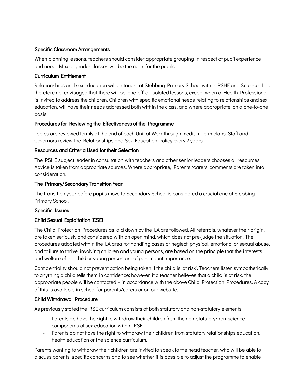#### Specific Classroom Arrangements

When planning lessons, teachers should consider appropriate grouping in respect of pupil experience and need. Mixed-gender classes will be the norm for the pupils.

#### Curriculum Entitlement

Relationships and sex education will be taught at Stebbing Primary School within PSHE and Science. It is therefore not envisaged that there will be 'one-off' or isolated lessons, except when a Health Professional is invited to address the children. Children with specific emotional needs relating to relationships and sex education, will have their needs addressed both within the class, and where appropriate, on a one-to-one basis.

#### Procedures for Reviewing the Effectiveness of the Programme

Topics are reviewed termly at the end of each Unit of Work through medium-term plans. Staff and Governors review the Relationships and Sex Education Policy every 2 years.

#### Resources and Criteria Used for their Selection

The PSHE subject leader in consultation with teachers and other senior leaders chooses all resources. Advice is taken from appropriate sources. Where appropriate, Parents'/carers' comments are taken into consideration.

#### The Primary/Secondary Transition Year

The transition year before pupils move to Secondary School is considered a crucial one at Stebbing Primary School.

#### Specific Issues

#### Child Sexual Exploitation (CSE)

The Child Protection Procedures as laid down by the LA are followed. All referrals, whatever their origin, are taken seriously and considered with an open mind, which does not pre-judge the situation. The procedures adopted within the LA area for handling cases of neglect, physical, emotional or sexual abuse, and failure to thrive, involving children and young persons, are based on the principle that the interests and welfare of the child or young person are of paramount importance.

Confidentiality should not prevent action being taken if the child is 'at risk'. Teachers listen sympathetically to anything a child tells them in confidence; however, if a teacher believes that a child is at risk, the appropriate people will be contacted – in accordance with the above Child Protection Procedures. A copy of this is available in school for parents/carers or on our website.

#### Child Withdrawal Procedure

As previously stated the RSE curriculum consists of both statutory and non-statutory elements:

- Parents do have the right to withdraw their children from the non-statutory/non-science components of sex education within RSE.
- Parents do not have the right to withdraw their children from statutory relationships education, health education or the science curriculum.

Parents wanting to withdraw their children are invited to speak to the head teacher, who will be able to discuss parents' specific concerns and to see whether it is possible to adjust the programme to enable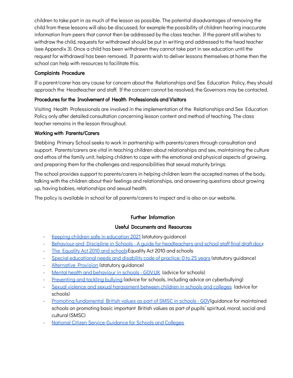children to take part in as much of the lesson as possible. The potential disadvantages of removing the child from these lessons will also be discussed, for example the possibility of children hearing inaccurate information from peers that cannot then be addressed by the class teacher. If the parent still wishes to withdraw the child, requests for withdrawal should be put in writing and addressed to the head teacher (see Appendix 3). Once a child has been withdrawn they cannot take part in sex education until the request for withdrawal has been removed. If parents wish to deliver lessons themselves at home then the school can help with resources to facilitate this.

#### Complaints Procedure

If a parent/carer has any cause for concern about the Relationships and Sex Education Policy, they should approach the Headteacher and staff. If the concern cannot be resolved, the Governors may be contacted.

#### Procedures for the Involvement of Health Professionals and Visitors

Visiting Health Professionals are involved in the implementation of the Relationships and Sex Education Policy only after detailed consultation concerning lesson content and method of teaching. The class teacher remains in the lesson throughout.

#### Working with Parents/Carers

Stebbing Primary School seeks to work in partnership with parents/carers through consultation and support. Parents/carers are vital in teaching children about relationships and sex, maintaining the culture and ethos of the family unit, helping children to cope with the emotional and physical aspects of growing, and preparing them for the challenges and responsibilities that sexual maturity brings.

The school provides support to parents/carers in helping children learn the accepted names of the body, talking with the children about their feelings and relationships, and answering questions about growing up, having babies, relationships and sexual health.

The policy is available in school for all parents/carers to inspect and is also on our website.

#### Further Information

#### Useful Documents and Resources

- [Keeping children safe in education 2021](https://assets.publishing.service.gov.uk/government/uploads/system/uploads/attachment_data/file/1021914/KCSIE_2021_September_guidance.pdf) (statutory guidance)
- Behaviour and Discipline in Schools A quide for headteachers and school staff final draft.docx
- [The Equality Act 2010 and schools](https://assets.publishing.service.gov.uk/government/uploads/system/uploads/attachment_data/file/315587/Equality_Act_Advice_Final.pdf)Equality Act 2010 and schools
- [Special educational needs and disability code of practice: 0 to 25 years](https://assets.publishing.service.gov.uk/government/uploads/system/uploads/attachment_data/file/398815/SEND_Code_of_Practice_January_2015.pdf) (statutory guidance)
- [Alternative Provision](https://assets.publishing.service.gov.uk/government/uploads/system/uploads/attachment_data/file/942014/alternative_provision_statutory_guidance_accessible.pdf) (statutory guidance)
- [Mental health and behaviour in schools GOV.UK](https://assets.publishing.service.gov.uk/government/uploads/system/uploads/attachment_data/file/1069687/Mental_health_and_behaviour_in_schools.pdf) (advice for schools)
- [Preventing and tackling bullying](https://assets.publishing.service.gov.uk/government/uploads/system/uploads/attachment_data/file/1069688/Preventing_and_tackling_bullying_advice.pdf) (advice for schools, including advice on cyberbullying)
- [Sexual violence and sexual harassment between children in schools and colleges](https://assets.publishing.service.gov.uk/government/uploads/system/uploads/attachment_data/file/1014224/Sexual_violence_and_sexual_harassment_between_children_in_schools_and_colleges.pdf) (advice for schools)
- [Promoting fundamental British values as part of SMSC in schools GOV](https://assets.publishing.service.gov.uk/government/uploads/system/uploads/attachment_data/file/380595/SMSC_Guidance_Maintained_Schools.pdf)(guidance for maintained schools on promoting basic important British values as part of pupils' spiritual, moral, social and cultural (SMSC)
- [National Citizen Service-Guidance for Schools and Colleges](https://assets.publishing.service.gov.uk/government/uploads/system/uploads/attachment_data/file/657812/National_Citizen_Service-Guidance_for_Schools_and_Colleges_.pdf)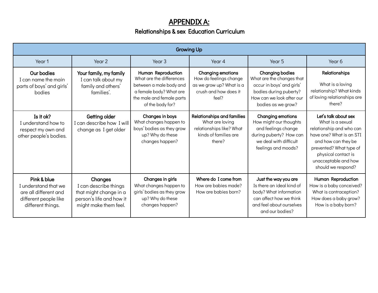# APPENDIX A:

# Relationships & sex Education Curriculum

| <b>Growing Up</b>                                                                                          |                                                                                                                 |                                                                                                                                                       |                                                                                                                     |                                                                                                                                                               |                                                                                                                                                                                                                         |  |
|------------------------------------------------------------------------------------------------------------|-----------------------------------------------------------------------------------------------------------------|-------------------------------------------------------------------------------------------------------------------------------------------------------|---------------------------------------------------------------------------------------------------------------------|---------------------------------------------------------------------------------------------------------------------------------------------------------------|-------------------------------------------------------------------------------------------------------------------------------------------------------------------------------------------------------------------------|--|
| Year 1                                                                                                     | Year 2                                                                                                          | Year 3                                                                                                                                                | Year 4                                                                                                              | Year 5                                                                                                                                                        | Year 6                                                                                                                                                                                                                  |  |
| Our bodies<br>I can name the main<br>parts of boys' and girls'<br>bodies                                   | Your family, my family<br>I can talk about my<br>family and others'<br>families'.                               | Human Reproduction<br>What are the differences<br>between a male body and<br>a female body? What are<br>the male and female parts<br>of the body for? | <b>Changing emotions</b><br>How do feelings change<br>as we grow up? What is a<br>crush and how does it<br>feel?    | <b>Changing bodies</b><br>What are the changes that<br>occur in boys' and girls'<br>bodies during puberty?<br>How can we look after our<br>bodies as we grow? | <b>Relationships</b><br>What is a loving<br>relationship? What kinds<br>of loving relationships are<br>there?                                                                                                           |  |
| Is it ok?<br>I understand how to<br>respect my own and<br>other people's bodies.                           | Getting older<br>I can describe how I will<br>change as I get older                                             | Changes in boys<br>What changes happen to<br>boys' bodies as they grow<br>up? Why do these<br>changes happen?                                         | <b>Relationships and families</b><br>What are loving<br>relationships like? What<br>kinds of families are<br>there? | <b>Changing emotions</b><br>How might our thoughts<br>and feelings change<br>during puberty? How can<br>we deal with difficult<br>feelings and moods?         | Let's talk about sex<br>What is a sexual<br>relationship and who can<br>have one? What is an STI<br>and how can they be<br>prevented? What type of<br>physical contact is<br>unacceptable and how<br>should we respond? |  |
| Pink & blue<br>I understand that we<br>are all different and<br>different people like<br>different things. | Changes<br>I can describe things<br>that might change in a<br>person's life and how it<br>might make them feel. | Changes in girls<br>What changes happen to<br>girls' bodies as they grow<br>up? Why do these<br>changes happen?                                       | Where do I come from<br>How are babies made?<br>How are babies born?                                                | Just the way you are<br>Is there an ideal kind of<br>body? What information<br>can affect how we think<br>and feel about ourselves<br>and our bodies?         | Human Reproduction<br>How is a baby conceived?<br>What is contraception?<br>How does a baby grow?<br>How is a baby born?                                                                                                |  |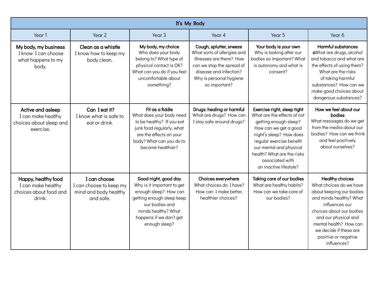| It's My Body                                                                    |                                                                               |                                                                                                                                                                                               |                                                                                                                                                                                       |                                                                                                                                                                                                                                                                           |                                                                                                                                                                                                                                                                           |
|---------------------------------------------------------------------------------|-------------------------------------------------------------------------------|-----------------------------------------------------------------------------------------------------------------------------------------------------------------------------------------------|---------------------------------------------------------------------------------------------------------------------------------------------------------------------------------------|---------------------------------------------------------------------------------------------------------------------------------------------------------------------------------------------------------------------------------------------------------------------------|---------------------------------------------------------------------------------------------------------------------------------------------------------------------------------------------------------------------------------------------------------------------------|
| Year 1                                                                          | Year 2                                                                        | Year <sub>3</sub>                                                                                                                                                                             | Year 4                                                                                                                                                                                | Year 5                                                                                                                                                                                                                                                                    | Year 6                                                                                                                                                                                                                                                                    |
| My body, my business<br>I know I can choose<br>what happens to my<br>body.      | Clean as a whistle<br>I know how to keep my<br>body clean.                    | My body, my choice<br>Who does your body<br>belong to? What type of<br>physical contact is OK?<br>What can you do if you feel<br>uncomfortable about<br>something?                            | Cough, splutter, sneeze<br>What sorts of allergies and<br>illnesses are there? How<br>can we stop the spread of<br>disease and infection?<br>Why is personal hygiene<br>so important? | Your body is your own<br>Why is looking after our<br>bodies so important? What<br>is autonomy and what is<br>consent?                                                                                                                                                     | <b>Harmful substances</b><br>sWhat are drugs, alcohol<br>and tobacco and what are<br>the effects of using them?<br>What are the risks<br>of taking harmful<br>substances? How can we<br>make good choices about<br>dangerous substances?                                  |
| Active and asleep<br>I can make healthy<br>choices about sleep and<br>exercise. | Can I eat it?<br>I know what is safe to<br>eat or drink.                      | Fit as a fiddle<br>What does your body need<br>to be healthy? If you eat<br>junk food regularly, what<br>are the effects on your<br>body? What can you do to<br>become healthier?             | Drugs: healing or harmful<br>What are drugs? How can<br>I stay safe around drugs?                                                                                                     | Exercise right, sleep tight<br>What are the effects of not<br>getting enough sleep?<br>How can we get a good<br>night's sleep? How does<br>regular exercise benefit<br>our mental and physical<br>health? What are the risks<br>associated with<br>an inactive lifestyle? | How we feel about our<br>bodies<br>What messages do we get<br>from the media about our<br>bodies? How can we think<br>and feel positively<br>about ourselves?                                                                                                             |
| Happy, healthy food<br>I can make healthy<br>choices about food and<br>drink.   | I can choose<br>I can choose to keep my<br>mind and body healthy<br>and safe. | Good night, good day<br>Why is it important to get<br>enough sleep? How can<br>getting enough sleep keep<br>our bodies and<br>minds healthy? What<br>happens if we don't get<br>enough sleep? | Choices everywhere<br>What choices do I have?<br>How can I make better,<br>healthier choices?                                                                                         | Taking care of our bodies<br>What are healthy habits?<br>How can we take care of<br>our bodies?                                                                                                                                                                           | <b>Healthy choices</b><br>What choices do we have<br>about keeping our bodies<br>and minds healthy? What<br>influences our<br>choices about our bodies<br>and our physical and<br>mental health? How can<br>we decide if these are<br>positive or negative<br>influences? |